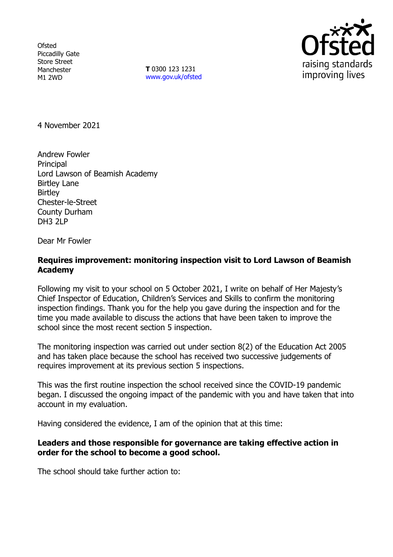**Ofsted** Piccadilly Gate Store Street Manchester M1 2WD

**T** 0300 123 1231 [www.gov.uk/ofsted](http://www.gov.uk/ofsted)



4 November 2021

Andrew Fowler **Principal** Lord Lawson of Beamish Academy Birtley Lane Birtley Chester-le-Street County Durham DH3 2LP

Dear Mr Fowler

## **Requires improvement: monitoring inspection visit to Lord Lawson of Beamish Academy**

Following my visit to your school on 5 October 2021, I write on behalf of Her Majesty's Chief Inspector of Education, Children's Services and Skills to confirm the monitoring inspection findings. Thank you for the help you gave during the inspection and for the time you made available to discuss the actions that have been taken to improve the school since the most recent section 5 inspection.

The monitoring inspection was carried out under section 8(2) of the Education Act 2005 and has taken place because the school has received two successive judgements of requires improvement at its previous section 5 inspections.

This was the first routine inspection the school received since the COVID-19 pandemic began. I discussed the ongoing impact of the pandemic with you and have taken that into account in my evaluation.

Having considered the evidence, I am of the opinion that at this time:

## **Leaders and those responsible for governance are taking effective action in order for the school to become a good school.**

The school should take further action to: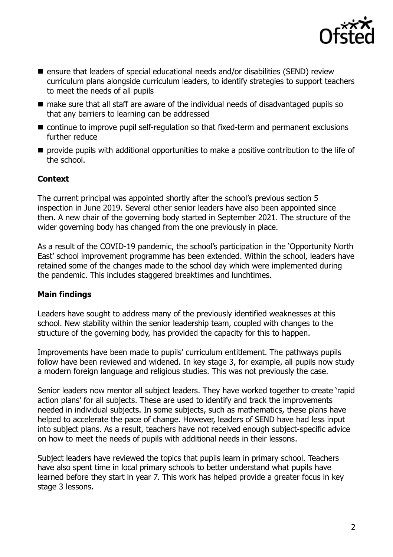

- $\blacksquare$  ensure that leaders of special educational needs and/or disabilities (SEND) review curriculum plans alongside curriculum leaders, to identify strategies to support teachers to meet the needs of all pupils
- make sure that all staff are aware of the individual needs of disadvantaged pupils so that any barriers to learning can be addressed
- continue to improve pupil self-regulation so that fixed-term and permanent exclusions further reduce
- $\blacksquare$  provide pupils with additional opportunities to make a positive contribution to the life of the school.

# **Context**

The current principal was appointed shortly after the school's previous section 5 inspection in June 2019. Several other senior leaders have also been appointed since then. A new chair of the governing body started in September 2021. The structure of the wider governing body has changed from the one previously in place.

As a result of the COVID-19 pandemic, the school's participation in the 'Opportunity North East' school improvement programme has been extended. Within the school, leaders have retained some of the changes made to the school day which were implemented during the pandemic. This includes staggered breaktimes and lunchtimes.

### **Main findings**

Leaders have sought to address many of the previously identified weaknesses at this school. New stability within the senior leadership team, coupled with changes to the structure of the governing body, has provided the capacity for this to happen.

Improvements have been made to pupils' curriculum entitlement. The pathways pupils follow have been reviewed and widened. In key stage 3, for example, all pupils now study a modern foreign language and religious studies. This was not previously the case.

Senior leaders now mentor all subject leaders. They have worked together to create 'rapid action plans' for all subjects. These are used to identify and track the improvements needed in individual subjects. In some subjects, such as mathematics, these plans have helped to accelerate the pace of change. However, leaders of SEND have had less input into subject plans. As a result, teachers have not received enough subject-specific advice on how to meet the needs of pupils with additional needs in their lessons.

Subject leaders have reviewed the topics that pupils learn in primary school. Teachers have also spent time in local primary schools to better understand what pupils have learned before they start in year 7. This work has helped provide a greater focus in key stage 3 lessons.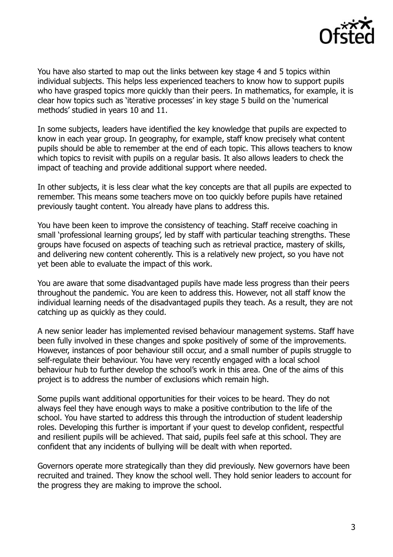

You have also started to map out the links between key stage 4 and 5 topics within individual subjects. This helps less experienced teachers to know how to support pupils who have grasped topics more quickly than their peers. In mathematics, for example, it is clear how topics such as 'iterative processes' in key stage 5 build on the 'numerical methods' studied in years 10 and 11.

In some subjects, leaders have identified the key knowledge that pupils are expected to know in each year group. In geography, for example, staff know precisely what content pupils should be able to remember at the end of each topic. This allows teachers to know which topics to revisit with pupils on a regular basis. It also allows leaders to check the impact of teaching and provide additional support where needed.

In other subjects, it is less clear what the key concepts are that all pupils are expected to remember. This means some teachers move on too quickly before pupils have retained previously taught content. You already have plans to address this.

You have been keen to improve the consistency of teaching. Staff receive coaching in small 'professional learning groups', led by staff with particular teaching strengths. These groups have focused on aspects of teaching such as retrieval practice, mastery of skills, and delivering new content coherently. This is a relatively new project, so you have not yet been able to evaluate the impact of this work.

You are aware that some disadvantaged pupils have made less progress than their peers throughout the pandemic. You are keen to address this. However, not all staff know the individual learning needs of the disadvantaged pupils they teach. As a result, they are not catching up as quickly as they could.

A new senior leader has implemented revised behaviour management systems. Staff have been fully involved in these changes and spoke positively of some of the improvements. However, instances of poor behaviour still occur, and a small number of pupils struggle to self-regulate their behaviour. You have very recently engaged with a local school behaviour hub to further develop the school's work in this area. One of the aims of this project is to address the number of exclusions which remain high.

Some pupils want additional opportunities for their voices to be heard. They do not always feel they have enough ways to make a positive contribution to the life of the school. You have started to address this through the introduction of student leadership roles. Developing this further is important if your quest to develop confident, respectful and resilient pupils will be achieved. That said, pupils feel safe at this school. They are confident that any incidents of bullying will be dealt with when reported.

Governors operate more strategically than they did previously. New governors have been recruited and trained. They know the school well. They hold senior leaders to account for the progress they are making to improve the school.